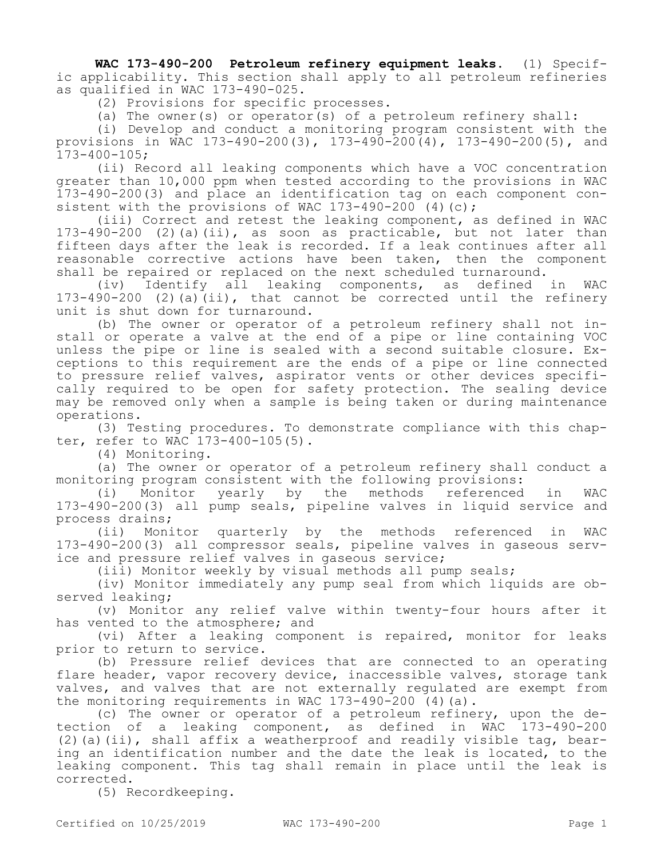**WAC 173-490-200 Petroleum refinery equipment leaks.** (1) Specific applicability. This section shall apply to all petroleum refineries as qualified in WAC 173-490-025.

(2) Provisions for specific processes.

(a) The owner(s) or operator(s) of a petroleum refinery shall:

(i) Develop and conduct a monitoring program consistent with the provisions in WAC 173-490-200(3), 173-490-200(4), 173-490-200(5), and 173-400-105;

(ii) Record all leaking components which have a VOC concentration greater than 10,000 ppm when tested according to the provisions in WAC 173-490-200(3) and place an identification tag on each component consistent with the provisions of WAC  $173-490-200$  (4)(c);

(iii) Correct and retest the leaking component, as defined in WAC 173-490-200 (2)(a)(ii), as soon as practicable, but not later than fifteen days after the leak is recorded. If a leak continues after all reasonable corrective actions have been taken, then the component shall be repaired or replaced on the next scheduled turnaround.

(iv) Identify all leaking components, as defined in WAC 173-490-200 (2)(a)(ii), that cannot be corrected until the refinery unit is shut down for turnaround.

(b) The owner or operator of a petroleum refinery shall not install or operate a valve at the end of a pipe or line containing VOC unless the pipe or line is sealed with a second suitable closure. Exceptions to this requirement are the ends of a pipe or line connected to pressure relief valves, aspirator vents or other devices specifically required to be open for safety protection. The sealing device may be removed only when a sample is being taken or during maintenance operations.

(3) Testing procedures. To demonstrate compliance with this chapter, refer to WAC 173-400-105(5).

(4) Monitoring.

(a) The owner or operator of a petroleum refinery shall conduct a monitoring program consistent with the following provisions:

(i) Monitor yearly by the methods referenced in WAC 173-490-200(3) all pump seals, pipeline valves in liquid service and process drains;

(ii) Monitor quarterly by the methods referenced in WAC 173-490-200(3) all compressor seals, pipeline valves in gaseous service and pressure relief valves in gaseous service;

(iii) Monitor weekly by visual methods all pump seals;

(iv) Monitor immediately any pump seal from which liquids are observed leaking;

(v) Monitor any relief valve within twenty-four hours after it has vented to the atmosphere; and

(vi) After a leaking component is repaired, monitor for leaks prior to return to service.

(b) Pressure relief devices that are connected to an operating flare header, vapor recovery device, inaccessible valves, storage tank valves, and valves that are not externally regulated are exempt from the monitoring requirements in WAC  $173-490-200$  (4)(a).

(c) The owner or operator of a petroleum refinery, upon the detection of a leaking component, as defined in WAC 173-490-200 (2)(a)(ii), shall affix a weatherproof and readily visible tag, bearing an identification number and the date the leak is located, to the leaking component. This tag shall remain in place until the leak is corrected.

(5) Recordkeeping.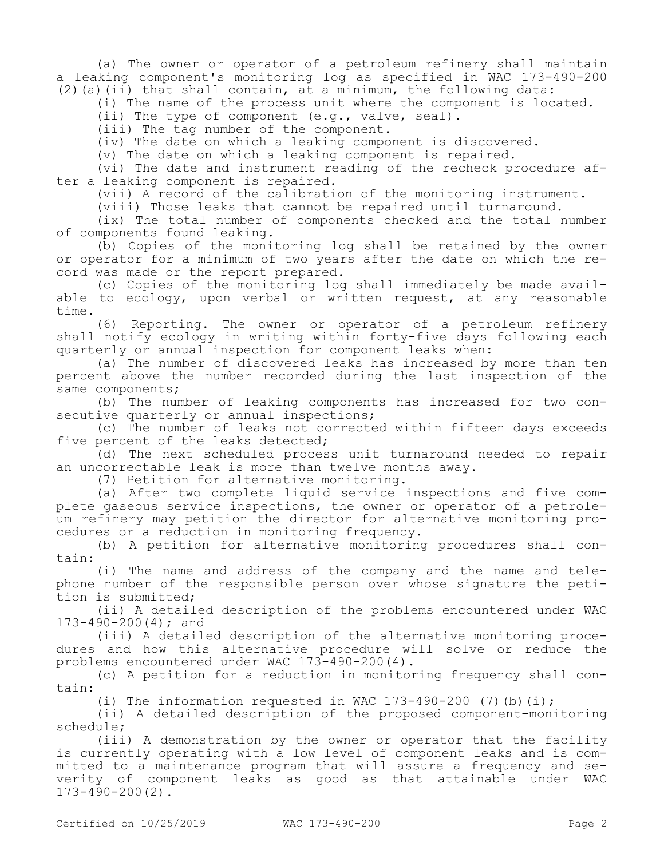(a) The owner or operator of a petroleum refinery shall maintain a leaking component's monitoring log as specified in WAC 173-490-200 (2)(a)(ii) that shall contain, at a minimum, the following data:

(i) The name of the process unit where the component is located.

(ii) The type of component (e.g., valve, seal).

(iii) The tag number of the component.

(iv) The date on which a leaking component is discovered.

(v) The date on which a leaking component is repaired.

(vi) The date and instrument reading of the recheck procedure after a leaking component is repaired.

(vii) A record of the calibration of the monitoring instrument.

(viii) Those leaks that cannot be repaired until turnaround.

(ix) The total number of components checked and the total number of components found leaking.

(b) Copies of the monitoring log shall be retained by the owner or operator for a minimum of two years after the date on which the record was made or the report prepared.

(c) Copies of the monitoring log shall immediately be made available to ecology, upon verbal or written request, at any reasonable time.

(6) Reporting. The owner or operator of a petroleum refinery shall notify ecology in writing within forty-five days following each quarterly or annual inspection for component leaks when:

(a) The number of discovered leaks has increased by more than ten percent above the number recorded during the last inspection of the same components;

(b) The number of leaking components has increased for two consecutive quarterly or annual inspections;

(c) The number of leaks not corrected within fifteen days exceeds five percent of the leaks detected;

(d) The next scheduled process unit turnaround needed to repair an uncorrectable leak is more than twelve months away.

(7) Petition for alternative monitoring.

(a) After two complete liquid service inspections and five complete gaseous service inspections, the owner or operator of a petroleum refinery may petition the director for alternative monitoring procedures or a reduction in monitoring frequency.

(b) A petition for alternative monitoring procedures shall contain:

(i) The name and address of the company and the name and telephone number of the responsible person over whose signature the petition is submitted;

(ii) A detailed description of the problems encountered under WAC 173-490-200(4); and

(iii) A detailed description of the alternative monitoring procedures and how this alternative procedure will solve or reduce the problems encountered under WAC 173-490-200(4).

(c) A petition for a reduction in monitoring frequency shall contain:

(i) The information requested in WAC  $173-490-200$  (7)(b)(i);

(ii) A detailed description of the proposed component-monitoring schedule;

(iii) A demonstration by the owner or operator that the facility is currently operating with a low level of component leaks and is committed to a maintenance program that will assure a frequency and severity of component leaks as good as that attainable under WAC 173-490-200(2).